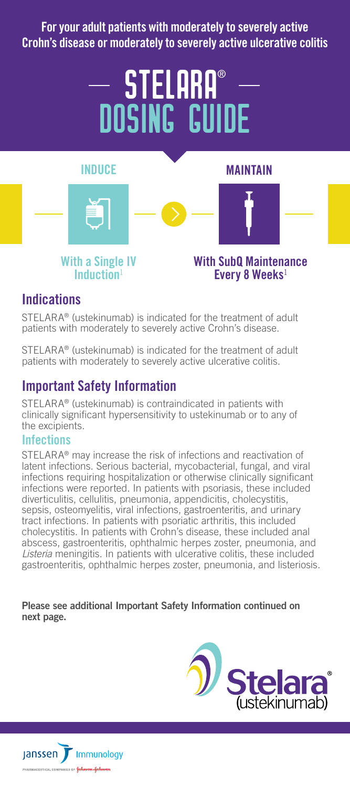For your adult patients with moderately to severely active Crohn's disease or moderately to severely active ulcerative colitis

# **- STELARA®** DOSING GUIDE



# **Indications**

STELARA® (ustekinumab) is indicated for the treatment of adult patients with moderately to severely active Crohn's disease.

STELARA® (ustekinumab) is indicated for the treatment of adult patients with moderately to severely active ulcerative colitis.

# Important Safety Information

STELARA® (ustekinumab) is contraindicated in patients with clinically significant hypersensitivity to ustekinumab or to any of the excipients.

#### Infections

STELARA® may increase the risk of infections and reactivation of latent infections. Serious bacterial, mycobacterial, fungal, and viral infections requiring hospitalization or otherwise clinically significant infections were reported. In patients with psoriasis, these included diverticulitis, cellulitis, pneumonia, appendicitis, cholecystitis, sepsis, osteomyelitis, viral infections, gastroenteritis, and urinary tract infections. In patients with psoriatic arthritis, this included cholecystitis. In patients with Crohn's disease, these included anal abscess, gastroenteritis, ophthalmic herpes zoster, pneumonia, and *Listeria* meningitis. In patients with ulcerative colitis, these included gastroenteritis, ophthalmic herpes zoster, pneumonia, and listeriosis.

#### Please see additional Important Safety Information continued on next page.



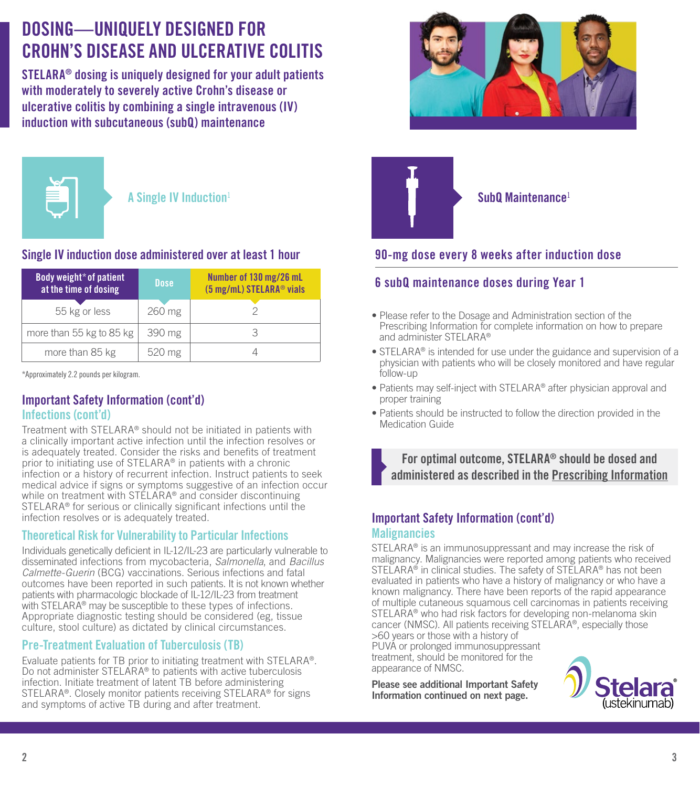# DOSING—UNIQUELY DESIGNED FOR CROHN'S DISFASE AND III CERATIVE COLITIS

STELARA® dosing is uniquely designed for your adult patients with moderately to severely active Crohn's disease or ulcerative colitis by combining a single intravenous (IV) induction with subcutaneous (subQ) maintenance



A Single IV Induction<sup>1</sup>

# Single IV induction dose administered over at least 1 hour

| Body weight* of patient<br>at the time of dosing | <b>Dose</b> | Number of 130 mg/26 mL<br>(5 mg/mL) STELARA <sup>®</sup> vials |
|--------------------------------------------------|-------------|----------------------------------------------------------------|
| 55 kg or less                                    | 260 mg      |                                                                |
| more than 55 kg to 85 kg                         | 390 mg      |                                                                |
| more than 85 kg                                  | 520 mg      |                                                                |

\*Approximately 2.2 pounds per kilogram.

## Important Safety Information (cont'd) Infections (cont'd)

Treatment with STELARA® should not be initiated in patients with a clinically important active infection until the infection resolves or is adequately treated. Consider the risks and benefits of treatment prior to initiating use of STELARA® in patients with a chronic infection or a history of recurrent infection. Instruct patients to seek medical advice if signs or symptoms suggestive of an infection occur while on treatment with STELARA® and consider discontinuing STELARA® for serious or clinically significant infections until the infection resolves or is adequately treated.

# Theoretical Risk for Vulnerability to Particular Infections

Individuals genetically deficient in IL-12/IL-23 are particularly vulnerable to disseminated infections from mycobacteria, *Salmonella*, and *Bacillus Calmette-Guerin* (BCG) vaccinations. Serious infections and fatal outcomes have been reported in such patients. It is not known whether patients with pharmacologic blockade of IL-12/IL-23 from treatment with STELARA<sup>®</sup> may be susceptible to these types of infections. Appropriate diagnostic testing should be considered (eg, tissue culture, stool culture) as dictated by clinical circumstances.

# Pre-Treatment Evaluation of Tuberculosis (TB)

Evaluate patients for TB prior to initiating treatment with STELARA®. Do not administer STELARA® to patients with active tuberculosis infection. Initiate treatment of latent TB before administering STELARA®. Closely monitor patients receiving STELARA® for signs and symptoms of active TB during and after treatment.





Sub0 Maintenance<sup>1</sup>

# 90-mg dose every 8 weeks after induction dose

# 6 subQ maintenance doses during Year 1

- Please refer to the Dosage and Administration section of the Prescribing Information for complete information on how to prepare and administer STELARA®
- STELARA® is intended for use under the guidance and supervision of a physician with patients who will be closely monitored and have regular follow-up
- Patients may self-inject with STELARA® after physician approval and proper training
- Patients should be instructed to follow the direction provided in the Medication Guide

For optimal outcome, STELARA® should be dosed and administered as described in the Prescribing Information

## Important Safety Information (cont'd) **Malignancies**

STELARA® is an immunosuppressant and may increase the risk of malignancy. Malignancies were reported among patients who received STELARA<sup>®</sup> in clinical studies. The safety of STELARA<sup>®</sup> has not been evaluated in patients who have a history of malignancy or who have a known malignancy. There have been reports of the rapid appearance of multiple cutaneous squamous cell carcinomas in patients receiving STELARA® who had risk factors for developing non-melanoma skin cancer (NMSC). All patients receiving STELARA®, especially those >60 years or those with a history of

PUVA or prolonged immunosuppressant treatment, should be monitored for the appearance of NMSC.

Please see additional Important Safety Information continued on next page.

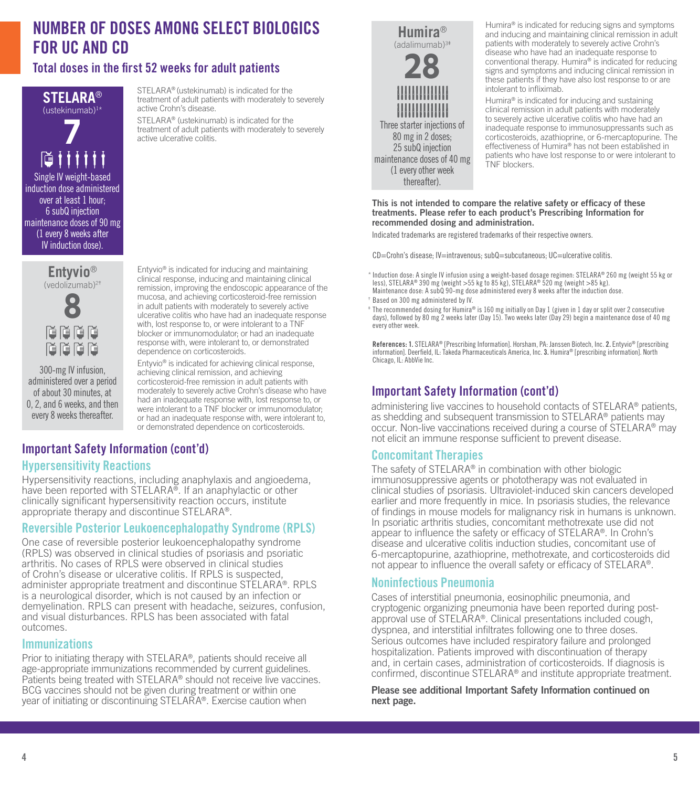# NUMBER OF DOSES AMONG SELECT BIOLOGICS FOR UC AND CD

# Total doses in the first 52 weeks for adult patients

**STELARA**® (ustekinumab)1 \*

**7**

Single IV weight-based induction dose administered over at least 1 hour; 6 subQ injection maintenance doses of 90 mg (1 every 8 weeks after IV induction dose).

N.

STELARA® (ustekinumab) is indicated for the treatment of adult patients with moderately to severely active Crohn's disease.

STELARA® (ustekinumab) is indicated for the treatment of adult patients with moderately to severely active ulcerative colitis.



Humira® is indicated for reducing signs and symptoms and inducing and maintaining clinical remission in adult patients with moderately to severely active Crohn's disease who have had an inadequate response to conventional therapy. Humira® is indicated for reducing signs and symptoms and inducing clinical remission in these patients if they have also lost response to or are intolerant to infliximab.

Humira® is indicated for inducing and sustaining clinical remission in adult patients with moderately to severely active ulcerative colitis who have had an inadequate response to immunosuppressants such as corticosteroids, azathioprine, or 6-mercaptopurine. The effectiveness of Humira® has not been established in patients who have lost response to or were intolerant to TNF blockers.

This is not intended to compare the relative safety or efficacy of these treatments. Please refer to each product's Prescribing Information for recommended dosing and administration.

Indicated trademarks are registered trademarks of their respective owners.

CD=Crohn's disease; IV=intravenous; subQ=subcutaneous; UC=ulcerative colitis.

\*Induction dose: A single IV infusion using a weight-based dosage regimen: STELARA® 260 mg (weight 55 kg or less), STELARA® 390 mg (weight >55 kg to 85 kg), STELARA® 520 mg (weight >85 kg). Maintenance dose: A subQ 90-mg dose administered every 8 weeks after the induction dose.

‡ The recommended dosing for Humira® is 160 mg initially on Day 1 (given in 1 day or split over 2 consecutive days), followed by 80 mg 2 weeks later (Day 15). Two weeks later (Day 29) begin a maintenance dose of 40 mg every other week.

References: 1. STELARA® [Prescribing Information]. Horsham, PA: Janssen Biotech, Inc. 2. Entyvio® [prescribing information]. Deerfield, IL: Takeda Pharmaceuticals America, Inc. 3. Humira® [prescribing information]. North Chicago, IL: AbbVie Inc.

# Important Safety Information (cont'd)

administering live vaccines to household contacts of STELARA® patients, as shedding and subsequent transmission to STELARA® patients may occur. Non-live vaccinations received during a course of STELARA® may not elicit an immune response sufficient to prevent disease.

#### Concomitant Therapies

The safety of STELARA® in combination with other biologic immunosuppressive agents or phototherapy was not evaluated in clinical studies of psoriasis. Ultraviolet-induced skin cancers developed earlier and more frequently in mice. In psoriasis studies, the relevance of findings in mouse models for malignancy risk in humans is unknown. In psoriatic arthritis studies, concomitant methotrexate use did not appear to influence the safety or efficacy of STELARA®. In Crohn's disease and ulcerative colitis induction studies, concomitant use of 6-mercaptopurine, azathioprine, methotrexate, and corticosteroids did not appear to influence the overall safety or efficacy of STELARA®.

#### Noninfectious Pneumonia

Cases of interstitial pneumonia, eosinophilic pneumonia, and cryptogenic organizing pneumonia have been reported during postapproval use of STELARA®. Clinical presentations included cough, dyspnea, and interstitial infiltrates following one to three doses. Serious outcomes have included respiratory failure and prolonged hospitalization. Patients improved with discontinuation of therapy and, in certain cases, administration of corticosteroids. If diagnosis is confirmed, discontinue STELARA® and institute appropriate treatment.

Please see additional Important Safety Information continued on next page.

**Entyvio**® (vedolizumab)2 † 8<br>8an r r r r

300-mg IV infusion, administered over a period of about 30 minutes, at 0, 2, and 6 weeks, and then every 8 weeks thereafter.

Entyvio® is indicated for inducing and maintaining clinical response, inducing and maintaining clinical remission, improving the endoscopic appearance of the mucosa, and achieving corticosteroid-free remission in adult patients with moderately to severely active ulcerative colitis who have had an inadequate response with, lost response to, or were intolerant to a TNF blocker or immunomodulator; or had an inadequate response with, were intolerant to, or demonstrated dependence on corticosteroids.

Entyvio® is indicated for achieving clinical response, achieving clinical remission, and achieving corticosteroid-free remission in adult patients with moderately to severely active Crohn's disease who have had an inadequate response with, lost response to, or were intolerant to a TNF blocker or immunomodulator; or had an inadequate response with, were intolerant to, or demonstrated dependence on corticosteroids.

# Important Safety Information (cont'd)

#### Hypersensitivity Reactions

Hypersensitivity reactions, including anaphylaxis and angioedema, have been reported with STELARA®. If an anaphylactic or other clinically significant hypersensitivity reaction occurs, institute appropriate therapy and discontinue STELARA®.

## Reversible Posterior Leukoencephalopathy Syndrome (RPLS)

One case of reversible posterior leukoencephalopathy syndrome (RPLS) was observed in clinical studies of psoriasis and psoriatic arthritis. No cases of RPLS were observed in clinical studies of Crohn's disease or ulcerative colitis. If RPLS is suspected, administer appropriate treatment and discontinue STELARA®. RPLS is a neurological disorder, which is not caused by an infection or demyelination. RPLS can present with headache, seizures, confusion, and visual disturbances. RPLS has been associated with fatal outcomes.

#### **Immunizations**

Prior to initiating therapy with STELARA®, patients should receive all age-appropriate immunizations recommended by current guidelines. Patients being treated with STELARA® should not receive live vaccines. BCG vaccines should not be given during treatment or within one year of initiating or discontinuing STELARA®. Exercise caution when

<sup>†</sup> Based on 300 mg administered by IV.